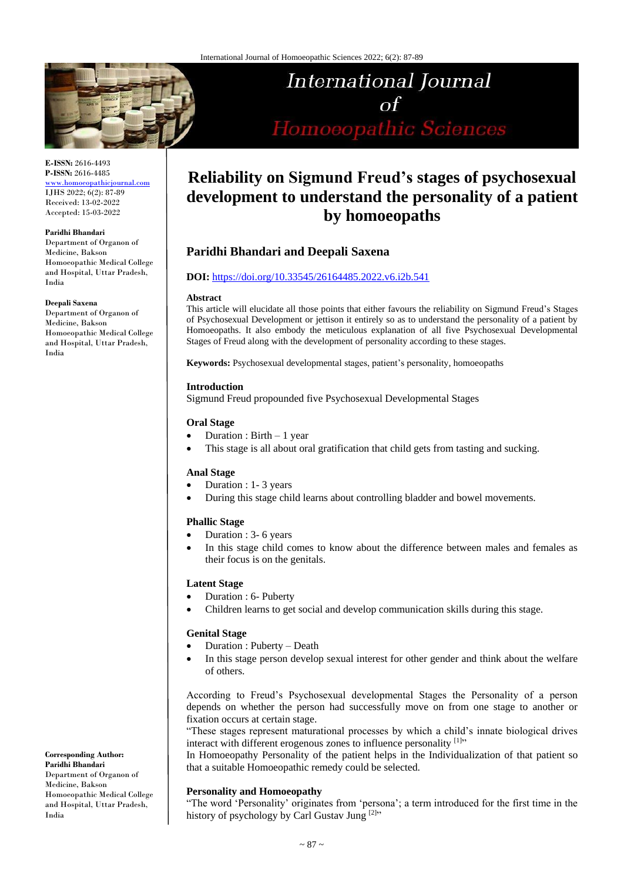

**E-ISSN:** 2616-4493 **P-ISSN:** 2616-4485 [www.homoeopathicjournal.com](file://///Server/test/homoeopathicjournal/issue/vol%204/issue%201/www.homoeopathicjournal.com)

IJHS 2022; 6(2): 87-89 Received: 13-02-2022 Accepted: 15-03-2022

**Paridhi Bhandari**

Department of Organon of Medicine, Bakson Homoeopathic Medical College and Hospital, Uttar Pradesh, India

**Deepali Saxena**

Department of Organon of Medicine, Bakson Homoeopathic Medical College and Hospital, Uttar Pradesh, India

**Corresponding Author: Paridhi Bhandari** Department of Organon of Medicine, Bakson Homoeopathic Medical College and Hospital, Uttar Pradesh, India

# **International Journal**  $\sigma$ f Homoeopathic Sciences

# **Reliability on Sigmund Freud's stages of psychosexual development to understand the personality of a patient by homoeopaths**

# **Paridhi Bhandari and Deepali Saxena**

#### **DOI:** <https://doi.org/10.33545/26164485.2022.v6.i2b.541>

#### **Abstract**

This article will elucidate all those points that either favours the reliability on Sigmund Freud's Stages of Psychosexual Development or jettison it entirely so as to understand the personality of a patient by Homoeopaths. It also embody the meticulous explanation of all five Psychosexual Developmental Stages of Freud along with the development of personality according to these stages.

**Keywords:** Psychosexual developmental stages, patient's personality, homoeopaths

#### **Introduction**

Sigmund Freud propounded five Psychosexual Developmental Stages

#### **Oral Stage**

- Duration : Birth 1 year
- This stage is all about oral gratification that child gets from tasting and sucking.

#### **Anal Stage**

- Duration : 1- 3 years
- During this stage child learns about controlling bladder and bowel movements.

#### **Phallic Stage**

- Duration : 3- 6 years
- In this stage child comes to know about the difference between males and females as their focus is on the genitals.

#### **Latent Stage**

- Duration : 6- Puberty
- Children learns to get social and develop communication skills during this stage.

#### **Genital Stage**

- Duration : Puberty Death
- In this stage person develop sexual interest for other gender and think about the welfare of others.

According to Freud's Psychosexual developmental Stages the Personality of a person depends on whether the person had successfully move on from one stage to another or fixation occurs at certain stage.

"These stages represent maturational processes by which a child's innate biological drives interact with different erogenous zones to influence personality [1]"

In Homoeopathy Personality of the patient helps in the Individualization of that patient so that a suitable Homoeopathic remedy could be selected.

#### **Personality and Homoeopathy**

"The word 'Personality' originates from 'persona'; a term introduced for the first time in the history of psychology by Carl Gustav Jung [2]"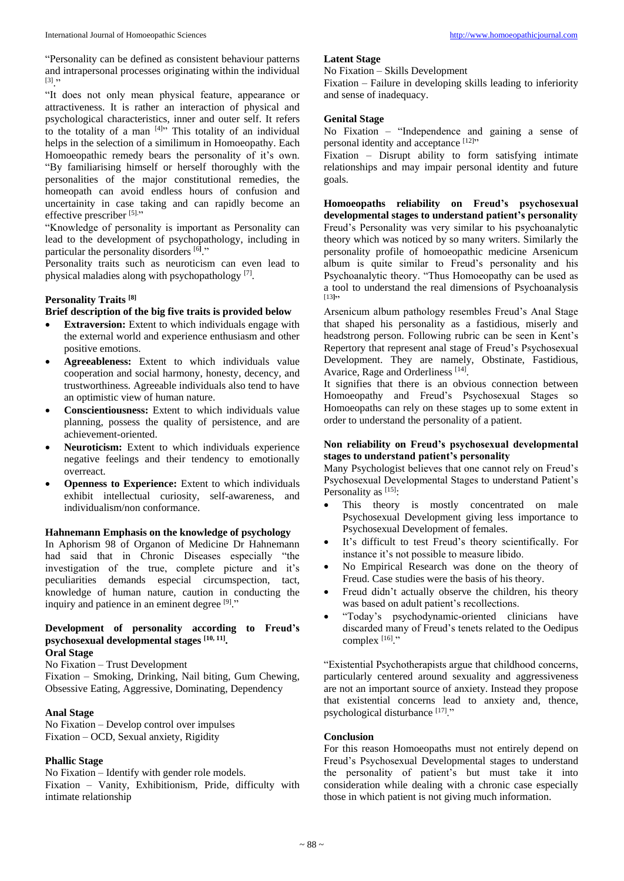"Personality can be defined as consistent behaviour patterns and intrapersonal processes originating within the individual  $\left[3\right]$   $\cdot$ 

"It does not only mean physical feature, appearance or attractiveness. It is rather an interaction of physical and psychological characteristics, inner and outer self. It refers to the totality of a man  $[4]$ <sup>\*</sup> This totality of an individual helps in the selection of a similimum in Homoeopathy. Each Homoeopathic remedy bears the personality of it's own. "By familiarising himself or herself thoroughly with the personalities of the major constitutional remedies, the homeopath can avoid endless hours of confusion and uncertainity in case taking and can rapidly become an effective prescriber [5]."

"Knowledge of personality is important as Personality can lead to the development of psychopathology, including in particular the personality disorders <sup>[6]</sup>."

Personality traits such as neuroticism can even lead to physical maladies along with psychopathology<sup>[7]</sup>.

#### **Personality Traits [8]**

#### **Brief description of the big five traits is provided below**

- **Extraversion:** Extent to which individuals engage with the external world and experience enthusiasm and other positive emotions.
- **Agreeableness:** Extent to which individuals value cooperation and social harmony, honesty, decency, and trustworthiness. Agreeable individuals also tend to have an optimistic view of human nature.
- **Conscientiousness:** Extent to which individuals value planning, possess the quality of persistence, and are achievement-oriented.
- **Neuroticism:** Extent to which individuals experience negative feelings and their tendency to emotionally overreact.
- **Openness to Experience:** Extent to which individuals exhibit intellectual curiosity, self-awareness, and individualism/non conformance.

#### **Hahnemann Emphasis on the knowledge of psychology**

In Aphorism 98 of Organon of Medicine Dr Hahnemann had said that in Chronic Diseases especially "the investigation of the true, complete picture and it's peculiarities demands especial circumspection, tact, knowledge of human nature, caution in conducting the inquiry and patience in an eminent degree [9]."

# **Development of personality according to Freud's psychosexual developmental stages [10, 11] .**

### **Oral Stage**

No Fixation – Trust Development

Fixation – Smoking, Drinking, Nail biting, Gum Chewing, Obsessive Eating, Aggressive, Dominating, Dependency

#### **Anal Stage**

No Fixation – Develop control over impulses Fixation – OCD, Sexual anxiety, Rigidity

#### **Phallic Stage**

No Fixation – Identify with gender role models. Fixation – Vanity, Exhibitionism, Pride, difficulty with intimate relationship

#### **Latent Stage**

No Fixation – Skills Development

Fixation – Failure in developing skills leading to inferiority and sense of inadequacy.

#### **Genital Stage**

No Fixation – "Independence and gaining a sense of personal identity and acceptance [12]"

Fixation – Disrupt ability to form satisfying intimate relationships and may impair personal identity and future goals.

**Homoeopaths reliability on Freud's psychosexual developmental stages to understand patient's personality** Freud's Personality was very similar to his psychoanalytic theory which was noticed by so many writers. Similarly the personality profile of homoeopathic medicine Arsenicum album is quite similar to Freud's personality and his Psychoanalytic theory. "Thus Homoeopathy can be used as a tool to understand the real dimensions of Psychoanalysis [13**]**"

Arsenicum album pathology resembles Freud's Anal Stage that shaped his personality as a fastidious, miserly and headstrong person. Following rubric can be seen in Kent's Repertory that represent anal stage of Freud's Psychosexual Development. They are namely, Obstinate, Fastidious, Avarice, Rage and Orderliness<sup>[14]</sup>.

It signifies that there is an obvious connection between Homoeopathy and Freud's Psychosexual Stages so Homoeopaths can rely on these stages up to some extent in order to understand the personality of a patient.

#### **Non reliability on Freud's psychosexual developmental stages to understand patient's personality**

Many Psychologist believes that one cannot rely on Freud's Psychosexual Developmental Stages to understand Patient's Personality as [15]:

- This theory is mostly concentrated on male Psychosexual Development giving less importance to Psychosexual Development of females.
- It's difficult to test Freud's theory scientifically. For instance it's not possible to measure libido.
- No Empirical Research was done on the theory of Freud. Case studies were the basis of his theory.
- Freud didn't actually observe the children, his theory was based on adult patient's recollections.
- "Today's psychodynamic-oriented clinicians have discarded many of Freud's tenets related to the Oedipus complex<sup>[16]</sup>."

"Existential Psychotherapists argue that childhood concerns, particularly centered around sexuality and aggressiveness are not an important source of anxiety. Instead they propose that existential concerns lead to anxiety and, thence, psychological disturbance [17]."

#### **Conclusion**

For this reason Homoeopaths must not entirely depend on Freud's Psychosexual Developmental stages to understand the personality of patient's but must take it into consideration while dealing with a chronic case especially those in which patient is not giving much information.